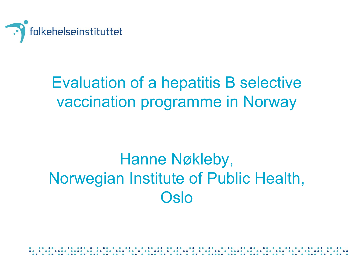

## Evaluation of a hepatitis B selective vaccination programme in Norway

### Hanne Nøkleby, Norwegian Institute of Public Health, **Oslo**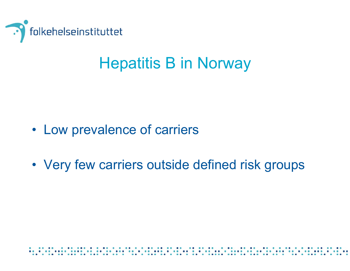

### Hepatitis B in Norway

- Low prevalence of carriers
- Very few carriers outside defined risk groups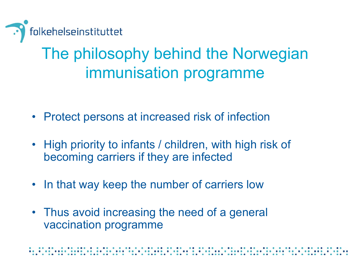

# The philosophy behind the Norwegian immunisation programme

- Protect persons at increased risk of infection
- High priority to infants / children, with high risk of becoming carriers if they are infected
- In that way keep the number of carriers low
- Thus avoid increasing the need of a general vaccination programme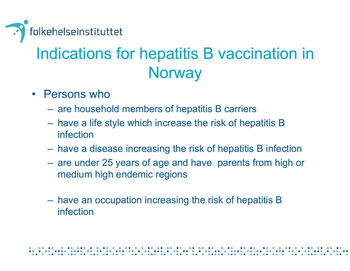

# Indications for hepatitis B vaccination in **Norway**

- Persons who
	- $\mathcal{L}_{\mathcal{A}}$  , and the set of the set of the set of the set of the set of the set of the set of the set of the set of the set of the set of the set of the set of the set of the set of the set of the set of the set of th are household members of hepatitis B carriers
	- $\mathcal{L}_{\mathcal{A}}$  , and the set of the set of the set of the set of the set of the set of the set of the set of the set of the set of the set of the set of the set of the set of the set of the set of the set of the set of th have a life style which increase the risk of hepatitis B infection
	- $\mathcal{L}_{\mathcal{A}}$  , and the set of the set of the set of the set of the set of the set of the set of the set of the set of the set of the set of the set of the set of the set of the set of the set of the set of the set of th have a disease increasing the risk of hepatitis B infection
	- $\mathcal{L}_{\mathcal{A}}$  , and the set of the set of the set of the set of the set of the set of the set of the set of the set of the set of the set of the set of the set of the set of the set of the set of the set of the set of th are under 25 years of age and have parents from high or medium high endemic regions
	- $\mathcal{L}_{\mathcal{A}}$  , and the set of the set of the set of the set of the set of the set of the set of the set of the set of the set of the set of the set of the set of the set of the set of the set of the set of the set of th have an occupation increasing the risk of hepatitis B infection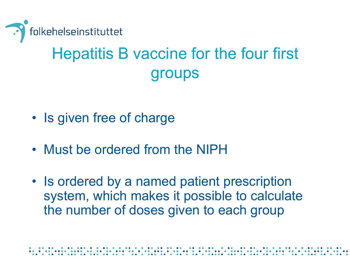

# Hepatitis B vaccine for the four first groups

- Is given free of charge
- Must be ordered from the NIPH
- Is ordered by a named patient prescription system, which makes it possible to calculate the number of doses given to each group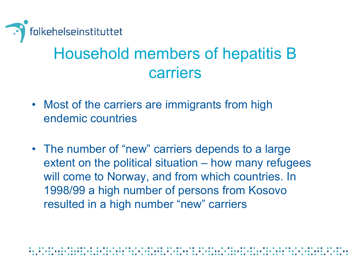

### Household members of hepatitis B carriers

- Most of the carriers are immigrants from high endemic countries
- The number of "new" carriers depends to a large extent on the political situation – how many refugees will come to Norway, and from which countries. In 1998/99 a high number of persons from Kosovo resulted in a high number "new" carriers

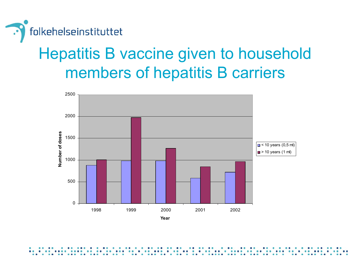

### Hepatitis B vaccine given to household members of hepatitis B carriers

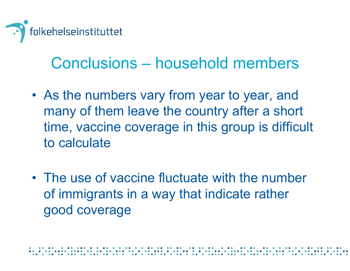

#### Conclusions – household members

- As the numbers vary from year to year, and many of them leave the country after a short time, vaccine coverage in this group is difficult to calculate
- The use of vaccine fluctuate with the number of immigrants in a way that indicate rather good coverage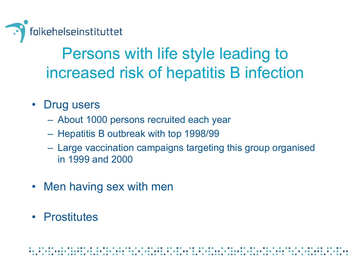

### Persons with life style leading to increased risk of hepatitis B infection

- • Drug users
	- $\mathcal{L}_{\mathcal{A}}$  , and the set of the set of the set of the set of the set of the set of the set of the set of the set of the set of the set of the set of the set of the set of the set of the set of the set of the set of th About 1000 persons recruited each year
	- $\mathcal{L}_{\mathcal{A}}$  , and the set of the set of the set of the set of the set of the set of the set of the set of the set of the set of the set of the set of the set of the set of the set of the set of the set of the set of th Hepatitis B outbreak with top 1998/99
	- $\mathcal{L}_{\mathcal{A}}$  , and the set of the set of the set of the set of the set of the set of the set of the set of the set of the set of the set of the set of the set of the set of the set of the set of the set of the set of th Large vaccination campaigns targeting this group organised in 1999 and 2000
- Men having sex with men
- Prostitutes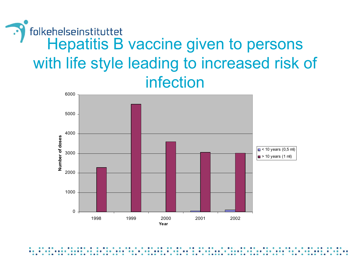#### folkehelseinstituttet Hepatitis B vaccine given to persons with life style leading to increased risk of infection

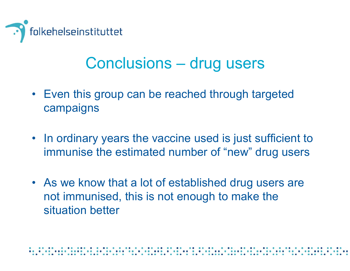

#### Conclusions – drug users

- Even this group can be reached through targeted campaigns
- In ordinary years the vaccine used is just sufficient to immunise the estimated number of "new" drug users
- As we know that a lot of established drug users are not immunised, this is not enough to make the situation better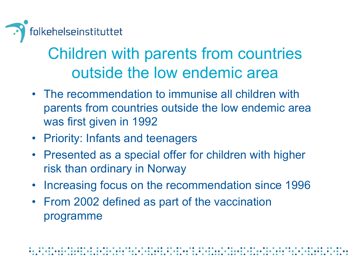

### Children with parents from countries outside the low endemic area

- The recommendation to immunise all children with parents from countries outside the low endemic area was first given in 1992
- Priority: Infants and teenagers
- Presented as a special offer for children with higher risk than ordinary in Norway
- Increasing focus on the recommendation since 1996
- From 2002 defined as part of the vaccination programme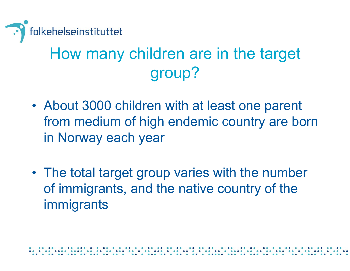

# How many children are in the target group?

- About 3000 children with at least one parent from medium of high endemic country are born in Norway each year
- The total target group varies with the number of immigrants, and the native country of the immigrants

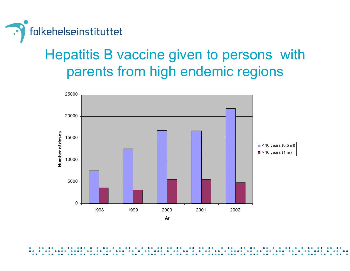

#### Hepatitis B vaccine given to persons with parents from high endemic regions